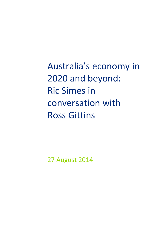Australia's economy in 2020 and beyond: Ric Simes in conversation with Ross Gittins

27 August 2014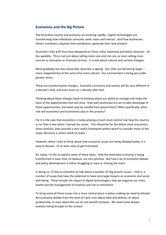# **Economics and the Big Picture**

The Australian society and economy are evolving rapidly. Digital technologies are transforming how individuals consume, work, learn and interact. And how businesses attract customers, organise their workplaces, generate their next product.

Australia's links with Asia have deepened as China, India, Indonesia and others blossom - all too speedily. This is not just about selling more coal and iron ore, or even selling more tourism or education or financial services. It is also about cultural and societal linkages.

More gradually but also inexorably, Australia is ageing. Our cities are becoming larger – more congested but at the same time more vibrant. Our environment is being put under greater stress.

These are transformative changes. Australia's economy and society will be very different in a decade's time, and even more so, a decade after that.

Thinking about these changes leads to thinking about our ability to manage and make the most of the opportunities that will arise. How well positioned are we to take advantage of those opportunities, and what may be needed from government? More specifically, what role will economics and economists play in this process?

For it is the case that economics is today playing a much more central role how the country is run than it was when I started my career. This should be for the better since economics, done carefully, does provide a very useful framework within which to consider many of the major decisions a nation needs to make.

However, when I start to think about how economic issues are being debated today, it is easy to despair. Or at least, easy to get frustrated.

So, today, I'd like to explore some of these ideas. How the Australian economy is being transformed in ways that, on balance, are very positive. But how a lot of economic debate and policy development is either struggling to cope or missing the mark.

In doing so, I'd like to comment on talk about a number of 'big picture' issues – that is, a number of issues that have the potential to have very large impacts on economic and social well-being. These include the impact of digital technologies, how we organise our cities, health and the management of incomes and risk in retirement.

To bring some of these issues into a more central place in policy-making we need to elevate the economic debate from the level of catch cries about debt and deficits, or about productivity, or even about the use of cost benefit analyses. We need some deeper analyses being brought to the surface.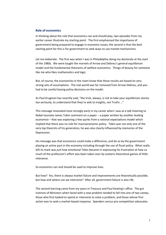## **Role of economics**

In thinking about the role that economics can and should play, two episodes from my earlier career illustrate my starting point. The first emphasised the importance of government being prepared to engage in economic issues; the second is that the best starting point for this is for government to seek ways to use market mechanisms.

Let me elaborate. The first was when I was in Philadelphia doing my doctorate at the start of the 1980s. We were taught the marvels of Arrow and Debreu's general equilibrium model and the fundamental theorems of welfare economics. Things of beauty for someone like me who likes mathematics and logic.

But, of course, the economists in the room know that these results are based on very strong sets of assumptions. The real world was far removed from Arrow-Debreu, and you had to be careful basing policy decisions on the model.

As Paul Krugman has recently said, "the trick, always, is not to take your equilibrium stories too seriously, to understand that they're aids to insights, not Truths …"

This message resonated most strongly early in my career when I was at a talk listening to Nobel laureate James Tobin comment on a paper – a paper written by another leading economist – that was exploring a few quirks from a rational expectations model which implied that there was no role for macroeconomic policy. Tobin was not only one of the very top theorists of his generation, he was also clearly influenced by memories of the Depression.

His message was that economics could make a difference, and do so by the government playing an active part in the economy including through the use of fiscal policy. What really left its mark was just how emotional Tobin became in expressing his frustration at how so much of the profession's effort was been taken over by esoteric theoretical games of little relevance.

So economics can and should be used to improve lives.

But how? Yes, there is always market failure and improvements are theoretically possible, but how and where can we intervene? After all, government failure is also rife.

The second learning came from my years in Treasury and Paul Keating's office. The gut instincts of Ministers when faced with a new problem tended to fall into one of two camps, those who first looked to spend or intervene to solve a problem, and those whose first action was to seek a market-based response. Spenders versus pro-competition advocates.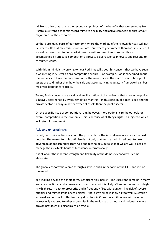I'd like to think that I am in the second camp. Most of the benefits that we see today from Australia's strong economic record relate to flexibility and active competition throughout major areas of the economy.

So there are many parts of our economy where the market, left to its own devices, will not deliver results that maximise social welfare. But where government then does intervene, it should first seek first to find market based solutions. And to ensure that this is accompanied by effective competition as private players seek to innovate and respond to consumer wants.

With this in mind, it is worrying to hear Rod Sims talk about his concern that we have seen a weakening in Australia's pro-competition culture. For example, Rod is concerned about the tendency to have the maximisation of the sales price as the main driver of how public assets are sold rather than how the sale and accompanying regulatory framework can best maximise benefits for society.

To me, Rod's concerns are valid, and an illustration of the problems that arise when policy is heavily determined by overly simplified mantras – in this case, public debt is bad and the private sector is always a better owner of assets than the public sector.

On the specific issue of competition, I am, however, more optimistic re the outlook for overall competition in the economy. This is because of all things digital, a subject to which I will return in a moment.

# **Asia and external risks**

In fact, I am quite optimistic about the prospects for the Australian economy for the next decade. The reason for this optimism is not only that we are well placed both to take advantage of opportunities from Asia and technology, but also that we are well placed to manage the inevitable bouts of turbulence internationally.

It is all about the inherent strength and flexibility of the domestic economy. Let me elaborate.

The global economy has come through a severe crisis in the form of the GFC, and it is on the mend.

Yet, looking beyond the short term, significant risks persist. The Euro zone remains in many ways dysfunctional and a renewed crisis at some point is likely. China continues on its high risk/high return path to prosperity and it frequently flirts with danger. The risk of severe bubbles and related imbalances persists. And, as we all now know all too well, Australia's external accounts will suffer from any downturn in China. In addition, we will become increasingly exposed to other economies in the region such as India and Indonesia where growth profiles will, episodically, be fragile.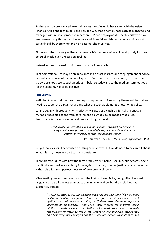So there will be pronounced external threats. But Australia has shown with the Asian Financial Crisis, the tech bubble and now the GFC that external shocks can be managed, and managed with relatively modest impact on GDP and employment. The flexibility we have seen – essentially through exchange rate and financial and labour markets – will almost certainly still be there when the next external shock arrives.

This means that it is very unlikely that Australia's next recession will result purely from an external shock, even a recession in China.

Instead, our next recession will have its source in Australia.

That domestic source may be an imbalance in an asset market, or a misjudgement of policy, or a collapse at core of the financial system. But from wherever it comes, it seems to me that we are not close to such a serious imbalance today and so the medium-term outlook for the economy has to be positive.

#### **Productivity**

With that in mind, let me turn to some policy questions. A recurring theme will be that we need to deepen the discussion around what are seen as elements of economic policy.

Let me begin with productivity. Productivity is used as a catch cry for calls to enact a myriad of possible actions from government, so what is to be made of the cries? Productivity is obviously important. As Paul Krugman said:

> *Productivity isn't everything, but in the long run it is almost everything. A country's ability to improve its standard of living over time depends almost entirely on its ability to raise its output per worker.*

> > Paul Krugman, *The Age of Diminishing Expectations* (1994)

So, yes, policy should be focused on lifting productivity. But we do need to be careful about what this may mean in a particular circumstance.

There are two issues with how the term productivity is being used in public debates, one is that it is being used as a catch cry for a myriad of causes, often unjustifiably, and the other is that it is a far from perfect measure of economic well-being.

Mike Keating has written recently about the first of these. Mike, being Mike, has used language that is a little less temperate than mine would be, but the basic idea has substance. He said:

> *"… business associations, some leading employers and their camp followers in the media are insisting that future reforms must focus on alleged labour market rigidities and reductions in taxation, as if these were the most important influences on productivity." And while "there is scope for improved labour relations to make a modest contribution to improved productivity … the main responsibility for improvements in that regard lie with employers themselves". "The best thing that employers and their trade associations could do is to stop*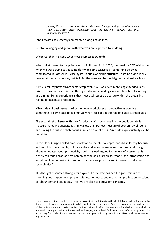*passing the buck to everyone else for their own failings, and get on with making their workplaces more productive using the existing freedoms that they undoubtedly have."* 

John Edwards has recently commented along similar lines.

So, stop whinging and get on with what you are supposed to be doing.

Of course, that is exactly what most businesses try to do.

When I first moved to the private sector in Rothschild in 1996, the previous CEO said to me when we were trying to get some clarity on some tax issues – something that was complicated in Rothschild's case by its unique ownership structure – that he didn't really care what the decision was, just tell him the rules and he would go out and make a buck.

A little later, my next private sector employer, ICAP, was even more single minded in its drive to make money, this time through its brokers building close relationships by wining and dining. So my experience is that most businesses do operate within the prevailing regime to maximise profitability.

Mike's idea of businesses making their own workplaces as productive as possible is something I'll come back to in a minute when I talk about the role of digital technologies.

The second set of issues with how "productivity" is being used in the public debate is measurement. Productivity is simply a less than perfect measure of economic well-being, and having the public debate focus so much on what the ABS reports as productivity can be unhelpful.

In fact, John Quiggin called productivity an "unhelpful concept", and did so largely because, as I read John's comments, of how capital and labour were being measured and thought about in debates about productivity.  $^{1}$  John instead argued for the use of a term that is closely related to productivity, namely technological progress, "that is, the introduction and adoption of technological innovations such as new products and improved production technologies".

This thought resonates strongly for anyone like me who has had the good fortune to spending hours upon hours playing with econometrics and estimating production functions or labour demand equations. The two are close to equivalent concepts.

**.** 

 $<sup>1</sup>$  John argues that we need to take proper account of the intensity with which labour and capital are being</sup> deployed to draw implications from trends in productivity as measured. Research I conducted around the turn of the century did demonstrate how two factors that would affect the intensity with which capital and labour are used, namely capacity utilisation and real wages, did indeed find pronounced effects on productivity, accounting for much of the slowdown in measured productivity growth in the 1980s and the subsequent improvement.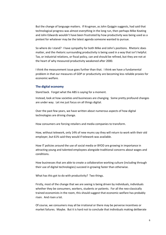But the change of language matters. If Krugman, as John Quiggin suggests, had said that technological progress was almost everything in the long run, then perhaps Mike Keating and John Edwards wouldn't have been frustrated by how productivity was being used as a pretext for whatever may be the latest agenda someone wanted to pursue.

So where do I stand? I have sympathy for both Mike and John's positions. Rhetoric does matter, and the rhetoric surrounding productivity is being used in a way that isn't helpful. Tax, or industrial relations, or fiscal policy, can and should be refined, but they are not at the heart of why measured productivity weakened after 2000.

I think the measurement issue goes further than that. I think we have a fundamental problem in that our measures of GDP or productivity are becoming less reliable proxies for economic welfare.

#### **The digital economy**

Stand back. Forget what the ABS is saying for a moment.

Instead, look at how societies and businesses are changing. Some pretty profound changes are under way. Let me just focus on all things digital.

Over the past few years, we have written about numerous aspects of how digital technologies are driving change.

How consumers are forcing retailers and media companies to transform.

How, without telework, only 14% of new mums say they will return to work with their old employer, but 61% said they would if telework was available.

How IT policies around the use of social media or BYOD are growing in importance in attracting young and talented employees alongside traditional concerns about wages and conditions.

How businesses that are able to create a collaborative working culture (including through their use of digital technologies) succeed in growing faster than otherwise.

What has this got to do with productivity? Two things.

Firstly, most of the change that we are seeing is being driven by individuals, individuals whether they be consumers, workers, students or patients. For all the neo-classically trained economists in the room, this should suggest that economic welfare has probably risen. And risen a lot.

Of course, we consumers may all be irrational or there may be perverse incentives or market failures. Maybe. But it is hard not to conclude that individuals making deliberate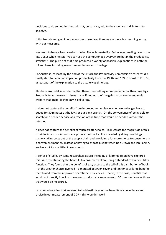decisions to do something new will not, on balance, add to their welfare and, in turn, to society's.

If this isn't showing up in our measures of welfare, then maybe there is something wrong with our measures.

We seem to have a fresh version of what Nobel laureate Bob Solow was puzzling over in the late 1980s when he said "you can see th[e computer age](http://en.wikipedia.org/wiki/Computer_age) everywhere but in the productivity statistics." The puzzle at that time produced a variety of possible explanations in both the US and here, including measurement issues and time lags.

For Australia, at least, by the end of the 1990s, the Productivity Commission's research did finally start to detect an impact on productivity from the 1980s and 1990s' boost to ICT. So, at least part of the explanation to the puzzle was time lags.

This time around it seems to me that there is something more fundamental than time lags. Productivity as measured misses many, if not most, of the gains to consumer and social welfare that digital technology is delivering.

It does not capture the benefits from improved convenience when we no longer have to queue for 30 minutes at the RMS or our bank branch. Or, the convenience of being able to search for a needed service at a fraction of the time that would be needed without the Internet.

It does not capture the benefits of much greater choice. To illustrate the magnitude of this, consider Amazon – Amazon as a purveyor of books. It succeeded by doing two things, namely taking costs out of the supply chain and providing a lot more choice to consumers in a convenient manner. Instead of having to choose just between Dan Brown and Ian Rankin, we have millions of titles in easy reach.

A series of studies by some researchers at MIT including Erik Brynjolfsson have explored this issue by estimating the benefits to consumer welfare using a standard consumer utility function. They found that the benefits of easy access to the tail of this distribution of books – of the greater choice involved – generated between seven and ten times as large benefits that flowed from the improved operational efficiencies. That is, in this case, benefits that would not directly flow into measured productivity were seven to 10 times as large as those that would be measured.

I am not advocating that we need to build estimates of the benefits of convenience and choice in our measurement of GDP – this wouldn't work.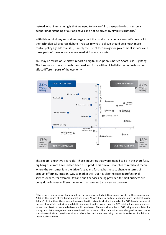Instead, what I am arguing is that we need to be careful to base policy decisions on a deeper understanding of our objectives and not be driven by simplistic rhetoric.<sup>2</sup>

With this in mind, my second message about the productivity debate – or let's now call it the technological progress debate – relates to what I believe should be a much more central policy agenda than it is, namely the use of technology for government services and those parts of the economy where market forces are muted.

You may be aware of Deloitte's report on digital disruption subtitled Short Fuse, Big Bang. The idea was to trace through the speed and force with which digital technologies would affect different parts of the economy.



This report is now two years old. Those industries that were judged to be in the short fuse, big bang quadrant have indeed been disrupted. This obviously applies to retail and media where the consumer is in the driver's seat and forcing business to change in terms of product offerings, location, way to market etc. But it is also the case in professional services where, for example, tax and audit services being provided to small business are being done in a very different manner than we saw just a year or two ago.

1

 $^2$  This is not a new message. For example, in the summary that Mardi Dungey and I wrote for the symposium on 2003 on the future of the bond market we wrote "it was time to nurture a deeper, more intelligent policy debate". At the time, there was serious consideration given to closing the market for CGS, largely because of the use of simplistic rhetoric around debt. A moment's reflection on how the GFC unfolded and was addressed shows how disastrous such a decision would have been. The main alternative to CGS being contemplated for pricing and risk management were securitised instruments. That symposium was designed to inject some operation reality from practitioners into a debate that, until then, was being couched in a mixture of politics and theoretical economics.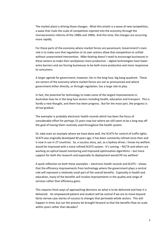The market place is driving those changes. What this entails is a wave of new competition, a wave that rivals the scale of competition injected into the economy through the microeconomic reforms of the 1980s and 1990s. And this time, the changes are occurring more rapidly.

For those parts of the economy where market forces are paramount, Government's main role is to make sure that regulation or its own actions allow that competition to unfold without unwarranted intervention. Mike Keating doesn't need to encourage businesses in these sectors to make their workplaces more productive – digital technologies have lower entry barriers and are forcing businesses to be both more productive and more responsive to consumers.

A larger agenda for government, however, lies in the long fuse, big bang quadrant. These are sectors of the economy where market forces are not as pronounced and where government either directly, or through regulation, has a large role to play.

In fact, the potential for technology to make some of the largest improvements in Australian lives lie in the long fuse sectors including health, education and transport. This is hardly a new thought, and there has been progress. But for the most part, the progress is all too gradual.

The exemplar is probably electronic health records which has been the focus of considerable effort for perhaps 15 years now but where we still seem to be a long way off the goal of having them routinely used throughout the health system.

Or, take even an example where we have done well, the SCATS for control of traffic lights. SCATS was originally developed 40 years ago, it has been constantly refined since then and is now in use in 27 countries. So, a success story, yet, as a Sydney driver, I know my welfare would be improved with a more refined SCATS system. It's coming – NICTA and others are working on optical based monitoring and improved optimisation algorithms – but more support for both the research and especially its deployment would lift my welfare!

A quick reflection on both these examples – electronic health records and SCATS – shows that the efficiency improvements from technology where the government plays a central role will represent a relatively small part of the overall benefits. Especially in health and education, many of the benefits will involve improvements in the quality and range of services rather than efficiency gains.

This requires fresh ways of approaching decisions on what is to be delivered and how it is delivered. An empowered patient and student will be central if we are to move beyond fairly narrow case stories of success to changes that permeate whole sectors. This will happen in time; but can the process be brought forward so that the benefits flow on scale within years rather than decades?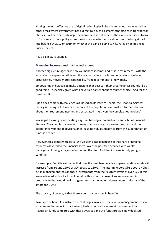Making the most effective use of digital technologies in health and education – as well as other areas where government has a direct role such as smart technologies in transport or utilities – will deliver much larger economic and social benefits than where we seem to like to focus much of our policy attention on such as whether we should get the budget back into balance by 2017 or 2019, or whether the Bank is going to hike rates by 25 bps next quarter or not.

It is a big picture agenda.

#### **Managing incomes and risks in retirement**

Another big picture agenda is how we manage incomes and risks in retirement. With the expansion of superannuation and the gradual reduced reliance on pensions, we have progressively moved more responsibility from government to individuals.

Empowering individuals to make decisions that best suit their circumstances sounds like a good thing – especially given what I have said earlier about consumer choice. And for the most part it is.

But it does come with challenges as, based on its Interim Report, the Financial Services Inquiry is finding out. How can the bulk of the population ever make informed decisions about their retirement incomes and associated risks given the complexities involved?

Wallis got it wrong by advocating a system based just on disclosure and a bit of financial literacy. The complexity involved means that more regulation over products and the deeper involvement of advisors, or at least individualised advice from the superannuation funds is needed.

However, this comes with costs. We've seen a rapid increase in the share of national resources devoted to the financial sector over the past two decades with wealth management being a major factor behind the rise. And that increase is only going to continue.

For example, Deloitte estimates that over the next two decades, superannuation assets will increase from around 120% of GDP today to 180%. The Interim Report talks about a 40bps cut in management fees on these investments from their current levels of over 1%. If this were achieved without a loss of benefits, this would represent an improvement in productivity that would rival that generated by the major microeconomic reforms of the 1980s and 1990s.

The proviso, of course, is that there would not be a loss in benefits.

Two types of benefits illustrate the challenges involved. The level of management fees for superannuation reflect in part an emphasis on active investment management by Australian funds compared with those overseas and the funds provide individualised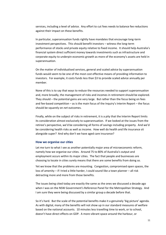services, including a level of advice. Any effort to cut fees needs to balance fee reductions against their impact on these benefits.

In particular, superannuation funds rightly have mandates that encourage long-term investment perspectives. This should benefit investors – witness the long-term performance of stocks and private equity relative to fixed income. It should help Australia's financial system direct sufficient money towards investments such as infrastructure and corporate equity to underpin economic growth as more of the economy's assets are held in superannuation.

On the matter of individualised services, general and scaled advice by superannuation funds would seem to be one of the most cost effective means of providing information to investors. For example, it costs funds less than \$3 to provide scaled advice annually per member.

None of this is to say that ways to reduce the resources needed to support superannuation and, more broadly, the management of risks and incomes in retirement should be explored. They should – the potential gains are very large. But rather than the focus being on fees and fee-based competition – as is the main focus of the Inquiry's Interim Report – the focus should be squarely on *net* outcomes.

Finally, while on the subject of risks in retirement, it is a pity that the Interim Report limits its consideration almost exclusively to superannuation. If we looked at the issues from the retiree's perspective, we'd be considering all forms of savings including property. And we'd be considering health risks as well as income. How well do health and life insurance sit alongside super? And why don't we have aged care insurance?

## **How we organise our cities**

Let me turn to what I see as another potentially major area of microeconomic reform, namely how we organise our cities. Around 75 to 80% of Australia's output and employment occurs within its major cities. The fact that people and businesses are choosing to locate in cities surely means that there are some benefits from doing so.

Yet we know that the problems are mounting. Congestion, compromised open spaces, the loss of amenity – if I tried a little harder, I could sound like a town planner – all risk detracting more and more from those benefits.

The issues being cited today are exactly the same as the ones we discussed a decade ago when I was on the NSW Government's Reference Panel for the Metropolitan Strategy. And I am sure they were being discussed by a similar group a decade before that.

So it's hard. But the scale of the potential benefits make it a genuinely 'big picture' agenda. As with digital, many of the benefits will not show up in our standard measures of welfare based on the national accounts. 10 minutes less travelling time to work, or to school, doesn't have direct effects on GDP. A more vibrant space around the harbour, or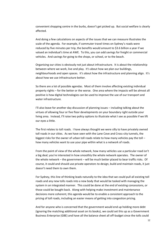convenient shopping centre in the burbs, doesn't get picked up. But social welfare is clearly affected.

And doing a few calculations on aspects of the issues that we can measure illustrates the scale of the agenda. For example, if commuter travel times on Sydney's roads were reduced by five minutes per trip, the benefits would amount to \$3.6 billion a year if we valued an individual's time at AWE. To this, you can add savings for freight or commercial vehicles. And savings for going to the shops, or school, or to the beach.

Organising our cities is obviously not just about infrastructure. It is about the relationship between where we work, live and play. It's about how we plan our buildings, neighbourhoods and open spaces. It's about how the infrastructure and planning align. It's about how we use infrastructure better.

So there are a lot of possible agendas. Most of them involve affecting existing individual property rights – for the better or the worse. One area where the impacts will be almost all positive is how digital technologies can be used to improve the use of our transport and water infrastructure.

I'll also leave for another day discussion of planning issues – including talking about the virtues of allowing four or five floor developments on your boundary right outside your living area. Instead, I'll raise two policy options to illustrate what I see as possible if we lift our eyes a little.

The first relates to toll roads. I have always thought we were silly to have privately owned toll roads in our cities. As we have seen with the Lane Cove and Cross-city tunnels, the biggest risks for the owner of urban toll roads relate to how many vehicles pay the toll – how many vehicles want to use your pipe within what is a network of roads.

From the point of view of the whole network, how many vehicles use a particular road isn't a big deal; you're interested in how smoothly the whole network operates. The owner of the whole network – the government – will be much better placed to bear traffic risks. Of course, it could and should use private operators to design, build and maintain roads, it just doesn't need them to own them.

For Sydney, this line of thinking leads naturally to the idea that we could pull all existing toll roads and any new tolls roads into a new body that would be tasked with managing the system in an integrated manner. This could be done at the end of existing concessions, or those could be bought back. Along with helping make investment and maintenance decisions more coherent, this agenda would be to enable a consistent approach to the pricing of toll roads, including an easier means of getting into congestion pricing.

And for anyone who is concerned that the government would end up holding more debt (ignoring the matching additional asset on its books), we could set this up as a Government Business Enterprise (GBE) and have all the balance sheet all off-budget since the tolls could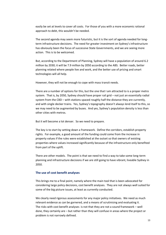easily be set at levels to cover all costs. For those of you with a more economic rational approach to debt, this wouldn't be needed.

The second agenda may seem more futuristic, but it is the sort of agenda needed for longterm infrastructure decisions. The need for greater investment on Sydney's infrastructure has obviously been the focus of successive State Governments, and we are seeing more action. This is to be welcomed.

But, according to the Department of Planning, Sydney will have a population of around 6.2 million by 2030; it will be 7.9 million by 2050 according to the ABS. Better roads, better planning related where people live and work, and the better use of pricing and smart technologies will all help.

However, they will not be enough to cope with mass transit needs.

There are a number of options for this, but the one that I am attracted to is a proper metro system. That is, by 2050, Sydney should have proper rail grid – not just an essentially radial system from the CBD – with stations spaced roughly half the distance they are currently, and with single decker trains. Yes, Sydney's topography doesn't always lend itself to this, so we may need to be augmented by buses. And yes, Sydney's population density is less than other cities with metros.

But it will become a lot denser. So we need to prepare.

The key is to start by setting down a framework. Define the corridors, establish property rights. For example, a good amount of the funding could come from the increase in property values if the rules were established at the outset so that owners of existing properties where values increased significantly because of the infrastructure only benefited from part of the uplift.

There are other models. The point is that we need to find a way to take some long-term planning and infrastructure decisions if we are still going to have vibrant, liveable Sydney in 2050.

# **The use of cost benefit analyses**

This brings me to a final point, namely where the main tool that is been advocated for considering large policy decisions, cost benefit analyses. They are not always well suited for some of the big picture issues, at least as currently conducted.

We clearly need rigorous assessments for any major policy initiatives. We need as much relevant evidence as can be garnered, and a means of scrutinising and evaluating it. The risks with cost benefit analyses is not that they are not a sound framework – well done, they certainly are – but rather than they will confuse in areas where the project or problem is not narrowly defined.